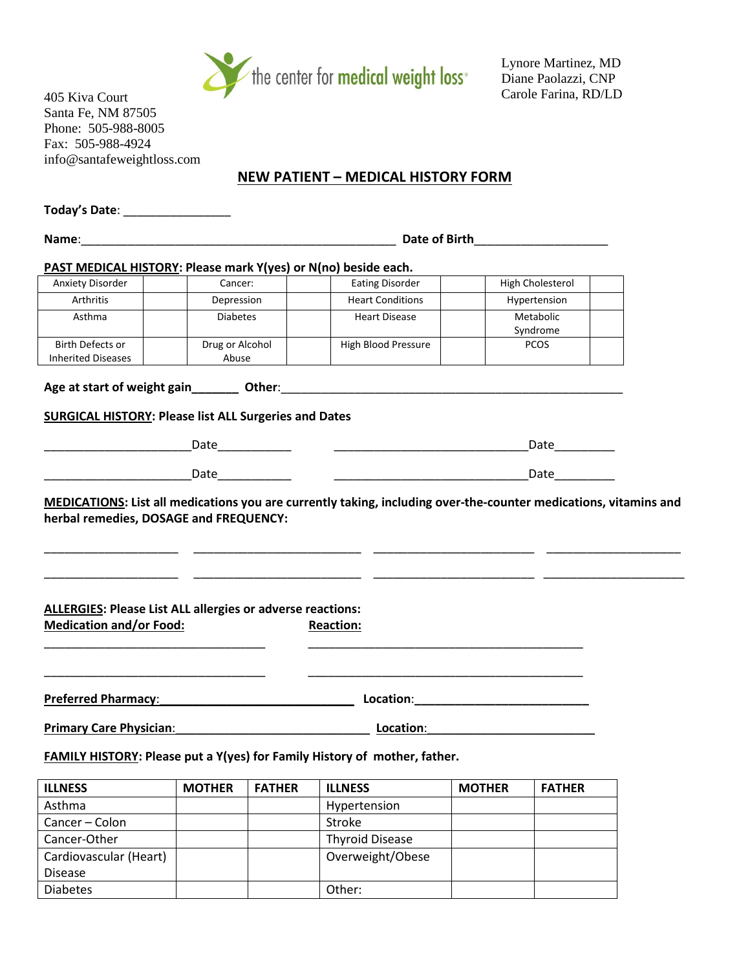

Lynore Martinez, MD Diane Paolazzi, CNP Carole Farina, RD/LD

405 Kiva Court Santa Fe, NM 87505 Phone: 505-988-8005 Fax: 505-988-4924 info@santafeweightloss.com

# **NEW PATIENT – MEDICAL HISTORY FORM**

| Today's Date: ___________________                                                                              |                   |               |                                                                                                                                                                                                                               |               |                  |  |  |  |
|----------------------------------------------------------------------------------------------------------------|-------------------|---------------|-------------------------------------------------------------------------------------------------------------------------------------------------------------------------------------------------------------------------------|---------------|------------------|--|--|--|
|                                                                                                                |                   |               |                                                                                                                                                                                                                               |               |                  |  |  |  |
| PAST MEDICAL HISTORY: Please mark Y(yes) or N(no) beside each.                                                 |                   |               |                                                                                                                                                                                                                               |               |                  |  |  |  |
| Anxiety Disorder                                                                                               | Cancer:           |               | <b>Eating Disorder</b>                                                                                                                                                                                                        |               | High Cholesterol |  |  |  |
| Arthritis                                                                                                      | Depression        |               | <b>Heart Conditions</b>                                                                                                                                                                                                       |               | Hypertension     |  |  |  |
| Asthma                                                                                                         | <b>Diabetes</b>   |               | <b>Heart Disease</b>                                                                                                                                                                                                          |               | Metabolic        |  |  |  |
|                                                                                                                |                   |               |                                                                                                                                                                                                                               |               | Syndrome         |  |  |  |
| <b>Birth Defects or</b>                                                                                        | Drug or Alcohol   |               | High Blood Pressure                                                                                                                                                                                                           |               | <b>PCOS</b>      |  |  |  |
| <b>Inherited Diseases</b>                                                                                      | Abuse             |               |                                                                                                                                                                                                                               |               |                  |  |  |  |
|                                                                                                                |                   |               |                                                                                                                                                                                                                               |               |                  |  |  |  |
| <b>SURGICAL HISTORY: Please list ALL Surgeries and Dates</b>                                                   |                   |               |                                                                                                                                                                                                                               |               |                  |  |  |  |
|                                                                                                                | Date_____________ |               |                                                                                                                                                                                                                               |               | Date____________ |  |  |  |
|                                                                                                                |                   |               |                                                                                                                                                                                                                               |               | Date__________   |  |  |  |
| <b>ALLERGIES: Please List ALL allergies or adverse reactions:</b><br><b>Medication and/or Food:</b>            |                   |               | <b>Reaction:</b>                                                                                                                                                                                                              |               |                  |  |  |  |
| Preferred Pharmacy: New York Charles Contains the Charles Charles Contains the Charles Charles Charles Charles |                   |               | Location: New York Processing Contract on the Contract of the Contract of the Contract of the Contract of the Contract of the Contract of the Contract of the Contract of the Contract of the Contract of the Contract of the |               |                  |  |  |  |
| <b>Primary Care Physician:</b>                                                                                 |                   |               | Location:                                                                                                                                                                                                                     |               |                  |  |  |  |
|                                                                                                                |                   |               | FAMILY HISTORY: Please put a Y(yes) for Family History of mother, father.                                                                                                                                                     |               |                  |  |  |  |
| <b>ILLNESS</b>                                                                                                 | <b>MOTHER</b>     | <b>FATHER</b> | <b>ILLNESS</b>                                                                                                                                                                                                                | <b>MOTHER</b> | <b>FATHER</b>    |  |  |  |
| Asthma                                                                                                         |                   |               | Hypertension                                                                                                                                                                                                                  |               |                  |  |  |  |
| Cancer - Colon                                                                                                 |                   |               | Stroke                                                                                                                                                                                                                        |               |                  |  |  |  |
| Cancer-Other                                                                                                   |                   |               | <b>Thyroid Disease</b>                                                                                                                                                                                                        |               |                  |  |  |  |
| Cardiovascular (Heart)                                                                                         |                   |               | Overweight/Obese                                                                                                                                                                                                              |               |                  |  |  |  |
| Disease                                                                                                        |                   |               |                                                                                                                                                                                                                               |               |                  |  |  |  |

Diabetes and Diabetes and Diabetes and Diabetes and Diabetes